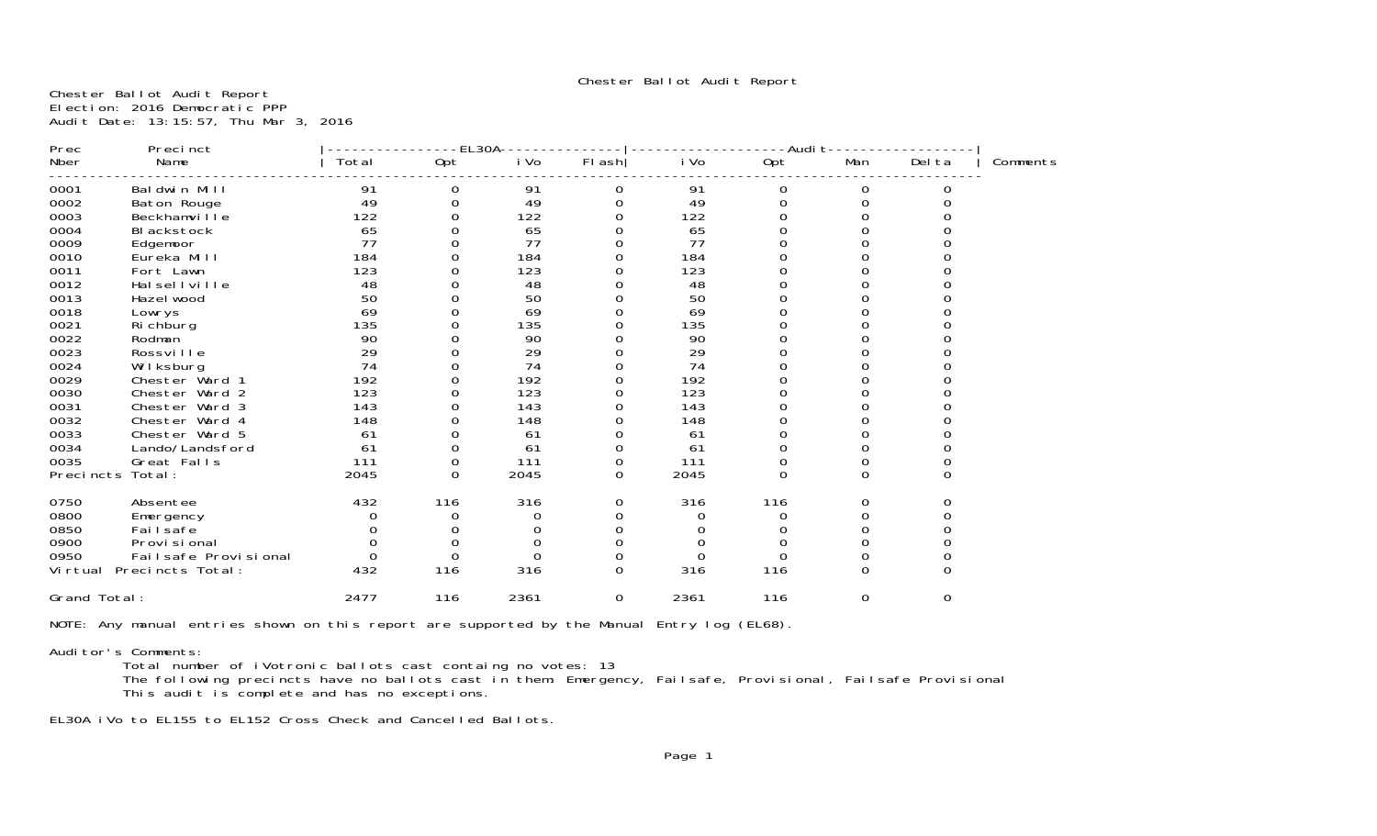Chester Ballot Audit Report

Chester Ballot Audit Report Election: 2016 Democratic PPP Audit Date: 13:15:57, Thu Mar 3, 2016

| Prec         | Precinct                 |       | EL30A-   |          |              |          | -Audit-  |               |               |          |
|--------------|--------------------------|-------|----------|----------|--------------|----------|----------|---------------|---------------|----------|
| Nber         | Name                     | Total | Opt      | i Vo     | $FI$ ash $ $ | i Vo     | Opt      | Man           | Del ta        | Comments |
| 0001         | Baldwin Mill             | 91    | 0        | 91       | O            | 91       | O        | 0             | 0             |          |
| 0002         | Baton Rouge              | 49    |          | 49       |              | 49       | 0        | 0             |               |          |
| 0003         | Beckhamville             | 122   |          | 122      |              | 122      |          |               |               |          |
| 0004         | BI ackstock              | 65    |          | 65       |              | 65       |          |               |               |          |
| 0009         | Edgemoor                 | 77    |          | 77       |              | 77       |          |               |               |          |
| 0010         | Eureka Mill              | 184   |          | 184      |              | 184      |          |               |               |          |
| 0011         | Fort Lawn                | 123   |          | 123      |              | 123      |          |               |               |          |
| 0012         | Halsellville             | 48    |          | 48       |              | 48       |          |               |               |          |
| 0013         | Hazel wood               | 50    |          | 50       |              | 50       |          |               |               |          |
| 0018         | Lowrys                   | 69    |          | 69       |              | 69       |          |               |               |          |
| 0021         | Ri chburg                | 135   |          | 135      |              | 135      |          |               |               |          |
| 0022         | Rodman                   | 90    |          | 90       |              | 90       |          |               |               |          |
| 0023         | Rossville                | 29    |          | 29       |              | 29       |          |               |               |          |
| 0024         | Wilksburg                | 74    |          | 74       |              | 74       |          |               |               |          |
| 0029         | Chester Ward 1           | 192   |          | 192      |              | 192      |          |               |               |          |
| 0030         | Chester Ward 2           | 123   |          | 123      |              | 123      |          |               |               |          |
| 0031         | Chester Ward 3           | 143   |          | 143      |              | 143      |          |               |               |          |
| 0032         | Chester Ward 4           | 148   |          | 148      |              | 148      |          |               |               |          |
| 0033         | Chester Ward 5           | 61    |          | 61       |              | 61       |          |               |               |          |
| 0034         | Lando/Landsford          | 61    |          | 61       | ი            | 61       |          |               |               |          |
| 0035         | Great Falls              | 111   |          | 111      | ი            | 111      | ი        | 0<br>$\Omega$ | 0<br>$\Omega$ |          |
| Precincts    | Total:                   | 2045  | $\Omega$ | 2045     | $\Omega$     | 2045     | $\Omega$ |               |               |          |
| 0750         | Absentee                 | 432   | 116      | 316      | 0            | 316      | 116      | O             |               |          |
| 0800         | Emergency                |       | 0        | 0        |              |          |          |               |               |          |
| 0850         | Fai I safe               |       |          |          |              |          |          |               |               |          |
| 0900         | Provi si onal            |       |          | O        |              |          |          |               |               |          |
| 0950         | Failsafe Provisional     |       | $\Omega$ | $\Omega$ | 0            | $\Omega$ | $\Omega$ |               |               |          |
|              | Virtual Precincts Total: | 432   | 116      | 316      | $\Omega$     | 316      | 116      | $\Omega$      | <sup>0</sup>  |          |
| Grand Total: |                          | 2477  | 116      | 2361     | 0            | 2361     | 116      | 0             | 0             |          |
|              |                          |       |          |          |              |          |          |               |               |          |

NOTE: Any manual entries shown on this report are supported by the Manual Entry log (EL68).

## Auditor's Comments:

Total number of iVotronic ballots cast containg no votes: 13

 The following precincts have no ballots cast in them: Emergency, Failsafe, Provisional, Failsafe Provisional This audit is complete and has no exceptions.

EL30A iVo to EL155 to EL152 Cross Check and Cancelled Ballots.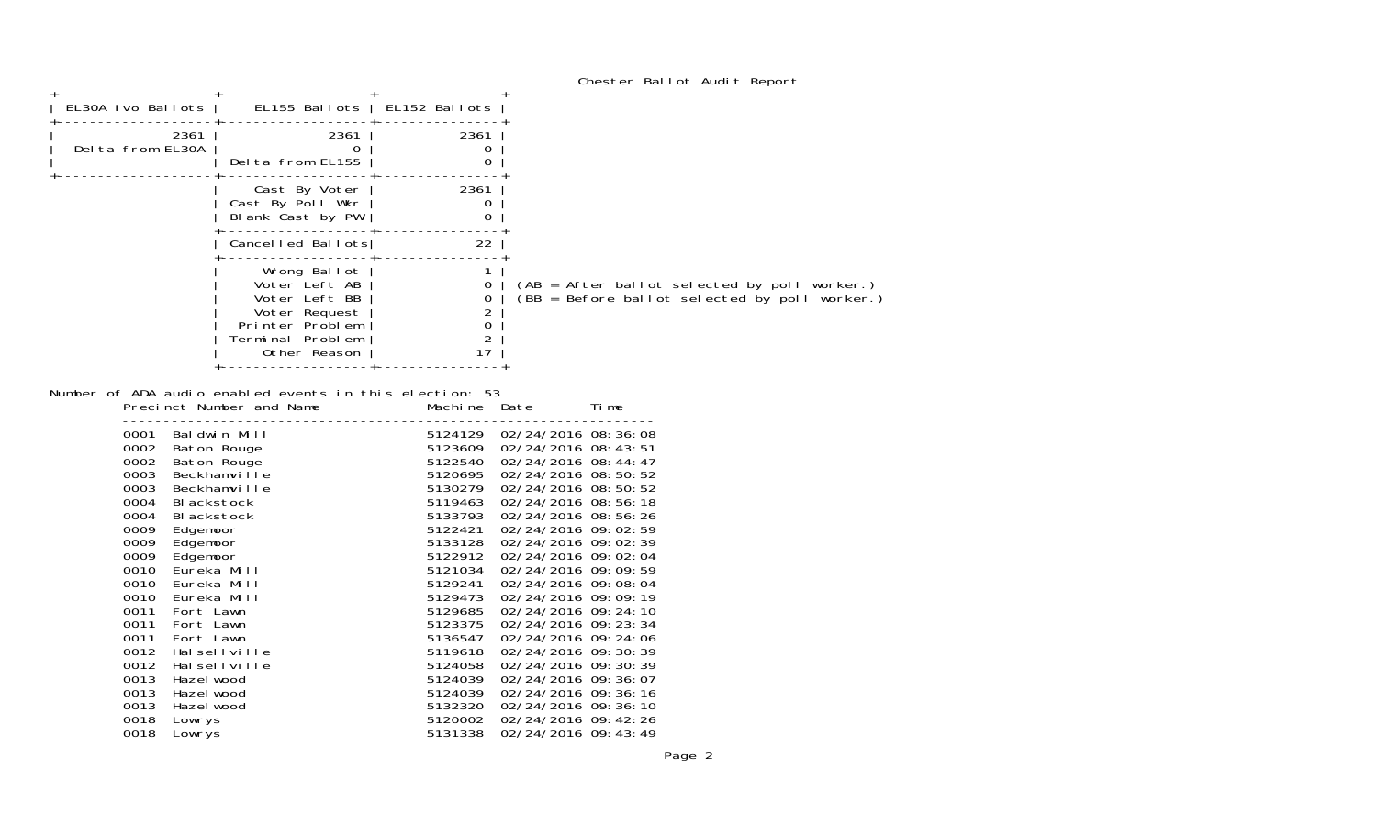| Chester Ballot Audit Report |  |  |  |
|-----------------------------|--|--|--|
|-----------------------------|--|--|--|

| EL30A Ivo Ballots        | EL155 Ballots   EL152 Ballots                                                                                          |           |                                                                                               |
|--------------------------|------------------------------------------------------------------------------------------------------------------------|-----------|-----------------------------------------------------------------------------------------------|
| 2361<br>Delta from EL30A | 2361<br>Delta from EL155                                                                                               | 2361<br>0 |                                                                                               |
|                          | Cast By Voter<br>Cast By Poll Wkr<br>Blank Cast by PW                                                                  | 2361<br>0 |                                                                                               |
|                          | Cancelled Ballots                                                                                                      | 22        |                                                                                               |
|                          | Wrong Ballot<br>Voter Left AB<br>Voter Left BB<br>Voter Request<br>Printer Problem<br>Terminal Problem<br>Other Reason |           | (AB = After ballot selected by poll worker.)<br>(BB = Before ballot selected by poll worker.) |

Number of ADA audio enabled events in this election: 53 Precinct Number and Name Machine Date Time

|      | Precinct Number and Name | Machi ne | Date                  | li me |
|------|--------------------------|----------|-----------------------|-------|
| 0001 | Baldwin Mill             | 5124129  | 02/24/2016 08:36:08   |       |
| 0002 | Baton Rouge              | 5123609  | 02/24/2016 08:43:51   |       |
| 0002 | Baton Rouge              | 5122540  | 02/24/2016 08:44:47   |       |
| 0003 | Beckhamville             | 5120695  | 02/24/2016 08:50:52   |       |
| 0003 | Beckhamville             | 5130279  | 02/24/2016 08:50:52   |       |
| 0004 | BI ackstock              | 5119463  | 02/24/2016 08:56:18   |       |
| 0004 | BI ackstock              | 5133793  | 02/24/2016 08:56:26   |       |
| 0009 | Edgemoor                 | 5122421  | 02/24/2016 09:02:59   |       |
| 0009 | Edgemoor                 | 5133128  | 02/24/2016 09:02:39   |       |
| 0009 | Edgemoor                 | 5122912  | 02/24/2016 09:02:04   |       |
| 0010 | Eureka Mill              | 5121034  | 02/24/2016 09:09:59   |       |
| 0010 | Eureka Mill              | 5129241  | 02/24/2016 09:08:04   |       |
| 0010 | Eureka Mill              | 5129473  | 02/24/2016 09:09:19   |       |
| 0011 | Fort Lawn                | 5129685  | 02/24/2016 09:24:10   |       |
| 0011 | Fort Lawn                | 5123375  | 02/24/2016 09: 23: 34 |       |
| 0011 | Fort Lawn                | 5136547  | 02/24/2016 09:24:06   |       |
| 0012 | Halsellville             | 5119618  | 02/24/2016 09:30:39   |       |
| 0012 | Halsellville             | 5124058  | 02/24/2016 09:30:39   |       |
| 0013 | Hazel wood               | 5124039  | 02/24/2016 09:36:07   |       |
| 0013 | Hazel wood               | 5124039  | 02/24/2016 09:36:16   |       |
| 0013 | Hazel wood               | 5132320  | 02/24/2016 09:36:10   |       |
| 0018 | Lowrys                   | 5120002  | 02/24/2016 09: 42: 26 |       |
| 0018 | Lowrys                   | 5131338  | 02/24/2016 09:43:49   |       |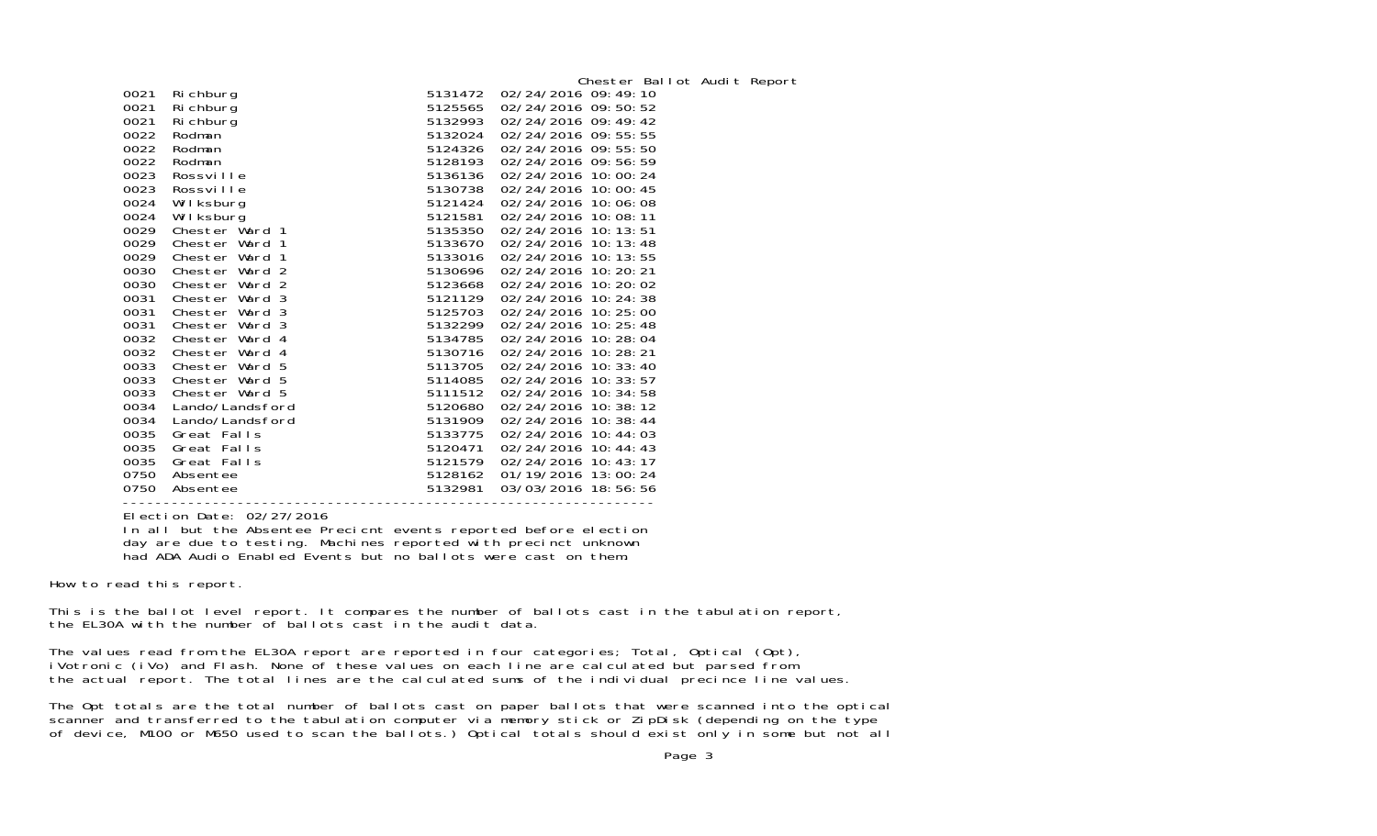Election Date: 02/27/2016

 In all but the Absentee Precicnt events reported before election day are due to testing. Machines reported with precinct unknown had ADA Audio Enabled Events but no ballots were cast on them.

-----------------------------------------------------------------

How to read this report.

This is the ballot level report. It compares the number of ballots cast in the tabulation report, the EL30A with the number of ballots cast in the audit data.

The values read from the EL30A report are reported in four categories; Total, Optical (Opt), iVotronic (iVo) and Flash. None of these values on each line are calculated but parsed from the actual report. The total lines are the calculated sums of the individual precince line values.

The Opt totals are the total number of ballots cast on paper ballots that were scanned into the optical scanner and transferred to the tabulation computer via memory stick or ZipDisk (depending on the type of device, M100 or M650 used to scan the ballots.) Optical totals should exist only in some but not all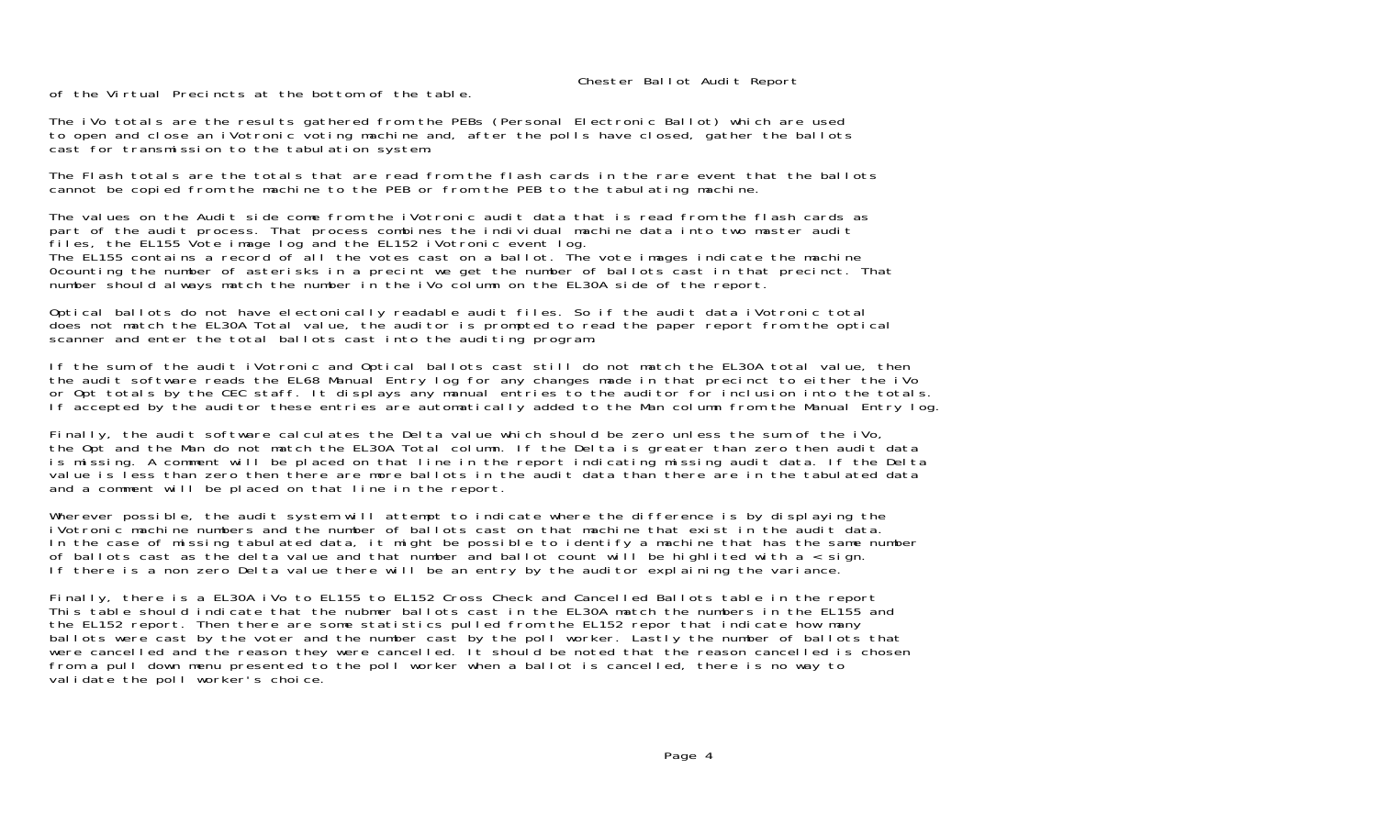Chester Ballot Audit Report

of the Virtual Precincts at the bottom of the table.

The iVo totals are the results gathered from the PEBs (Personal Electronic Ballot) which are used to open and close an iVotronic voting machine and, after the polls have closed, gather the ballots cast for transmission to the tabulation system.

The Flash totals are the totals that are read from the flash cards in the rare event that the ballotscannot be copied from the machine to the PEB or from the PEB to the tabulating machine.

The values on the Audit side come from the iVotronic audit data that is read from the flash cards as part of the audit process. That process combines the individual machine data into two master audit files, the EL155 Vote image log and the EL152 iVotronic event log. The EL155 contains a record of all the votes cast on a ballot. The vote images indicate the machine 0counting the number of asterisks in a precint we get the number of ballots cast in that precinct. That number should always match the number in the iVo column on the EL30A side of the report.

Optical ballots do not have electonically readable audit files. So if the audit data iVotronic total does not match the EL30A Total value, the auditor is prompted to read the paper report from the optical scanner and enter the total ballots cast into the auditing program.

If the sum of the audit iVotronic and Optical ballots cast still do not match the EL30A total value, then the audit software reads the EL68 Manual Entry log for any changes made in that precinct to either the iVo or Opt totals by the CEC staff. It displays any manual entries to the auditor for inclusion into the totals. If accepted by the auditor these entries are automatically added to the Man column from the Manual Entry log.

Finally, the audit software calculates the Delta value which should be zero unless the sum of the iVo, the Opt and the Man do not match the EL30A Total column. If the Delta is greater than zero then audit data is missing. A comment will be placed on that line in the report indicating missing audit data. If the Delta value is less than zero then there are more ballots in the audit data than there are in the tabulated data and a comment will be placed on that line in the report.

Wherever possible, the audit system will attempt to indicate where the difference is by displaying the iVotronic machine numbers and the number of ballots cast on that machine that exist in the audit data.In the case of missing tabulated data, it might be possible to identify a machine that has the same number of ballots cast as the delta value and that number and ballot count will be highlited with a  $\epsilon$  sign. If there is a non zero Delta value there will be an entry by the auditor explaining the variance.

Finally, there is a EL30A iVo to EL155 to EL152 Cross Check and Cancelled Ballots table in the report This table should indicate that the nubmer ballots cast in the EL30A match the numbers in the EL155 and the EL152 report. Then there are some statistics pulled from the EL152 repor that indicate how many ballots were cast by the voter and the number cast by the poll worker. Lastly the number of ballots that were cancelled and the reason they were cancelled. It should be noted that the reason cancelled is chosen from a pull down menu presented to the poll worker when a ballot is cancelled, there is no way to validate the poll worker's choice.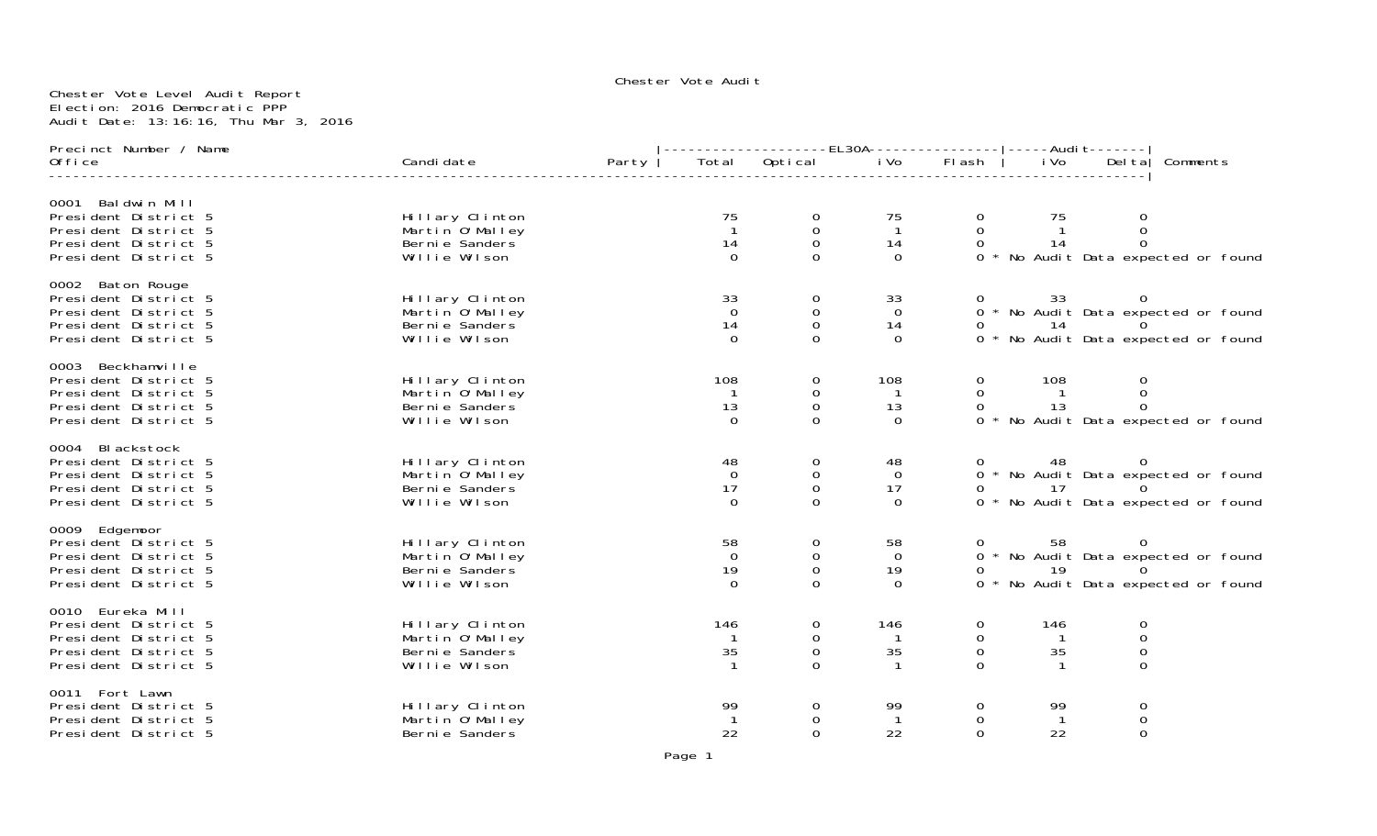### Chester Vote Audit

# Chester Vote Level Audit Report Election: 2016 Democratic PPP Audit Date: 13:16:16, Thu Mar 3, 2016

| Precinct Number / Name                                                                                            |                                                                        |       |                                        | -------------------EL30A----------------- ----Audi t------- |                                           |                         |                            |                                                                                                 |  |
|-------------------------------------------------------------------------------------------------------------------|------------------------------------------------------------------------|-------|----------------------------------------|-------------------------------------------------------------|-------------------------------------------|-------------------------|----------------------------|-------------------------------------------------------------------------------------------------|--|
| 0ffi ce                                                                                                           | Candi date                                                             | Party | Total                                  | Optical                                                     | i Vo                                      | Flash                   | i Vo                       | Comments<br>Del tal                                                                             |  |
| 0001 Baldwin Mill<br>President District 5<br>President District 5<br>President District 5<br>President District 5 | Hillary Clinton<br>Martin O'Malley<br>Berni e Sanders<br>Willie Wilson |       | 75<br>14<br>$\Omega$                   | 0<br>$\mathsf{O}\xspace$<br>$\mathbf 0$<br>$\Omega$         | 75<br>$\overline{1}$<br>14<br>$\Omega$    | 0<br>0<br>$\Omega$      | 75<br>14                   | 0<br>0<br>$\Omega$<br>* No Audit Data expected or found                                         |  |
| 0002 Baton Rouge<br>President District 5<br>President District 5<br>President District 5<br>President District 5  | Hillary Clinton<br>Martin O'Malley<br>Berni e Sanders<br>Willie Wilson |       | 33<br>$\overline{0}$<br>14<br>$\Omega$ | 0<br>0<br>$\mathbf 0$<br>$\Omega$                           | 33<br>$\overline{0}$<br>14<br>$\Omega$    | 0                       | 33<br>14                   | 0<br>0 * No Audit Data expected or found<br><sup>n</sup><br>0 * No Audit Data expected or found |  |
| 0003 Beckhamville<br>President District 5<br>President District 5<br>President District 5<br>President District 5 | Hillary Clinton<br>Martin O'Malley<br>Berni e Sanders<br>Willie Wilson |       | 108<br>13<br>$\Omega$                  | 0<br>$\mathbf 0$<br>$\mathbf 0$<br>$\Omega$                 | 108<br>13<br>$\Omega$                     | 0<br>0<br>0<br>0        | 108<br>13                  | 0<br>$\mathbf 0$<br>$\Omega$<br>No Audit Data expected or found                                 |  |
| 0004 Blackstock<br>President District 5<br>President District 5<br>President District 5<br>President District 5   | Hillary Clinton<br>Martin 0'Malley<br>Berni e Sanders<br>Willie Wilson |       | 48<br>$\Omega$<br>17<br>$\Omega$       | 0<br>0<br>$\mathbf 0$<br>$\Omega$                           | 48<br>$\overline{0}$<br>17<br>$\mathbf 0$ |                         | 48<br>17                   | 0<br>0 * No Audit Data expected or found<br>0 * No Audit Data expected or found                 |  |
| 0009 Edgemoor<br>President District 5<br>President District 5<br>President District 5<br>President District 5     | Hillary Clinton<br>Martin O'Malley<br>Berni e Sanders<br>Willie Wilson |       | 58<br>$\mathbf 0$<br>19<br>$\Omega$    | 0<br>0<br>0<br>$\Omega$                                     | 58<br>$\overline{0}$<br>19<br>$\Omega$    |                         | 58<br>19                   | 0<br>0 * No Audit Data expected or found<br>0 * No Audit Data expected or found                 |  |
| 0010 Eureka Mill<br>President District 5<br>President District 5<br>President District 5<br>President District 5  | Hillary Clinton<br>Martin 0'Malley<br>Berni e Sanders<br>Willie Wilson |       | 146<br>35                              | 0<br>0<br>$\mathbf 0$<br>$\Omega$                           | 146<br>$\mathbf 1$<br>35                  | 0<br>0<br>0<br>$\Omega$ | 146<br>35                  | 0<br>$\mathsf{O}\xspace$<br>$\mathsf 0$<br>$\Omega$                                             |  |
| 0011 Fort Lawn<br>President District 5<br>President District 5<br>President District 5                            | Hillary Clinton<br>Martin O'Malley<br>Berni e Sanders                  |       | 99<br>22                               | 0<br>0<br>0                                                 | 99<br>$\mathbf{1}$<br>22                  | 0<br>0<br>$\Omega$      | 99<br>$\overline{1}$<br>22 | $\mathbf 0$<br>$\mathbf 0$<br>$\mathbf 0$                                                       |  |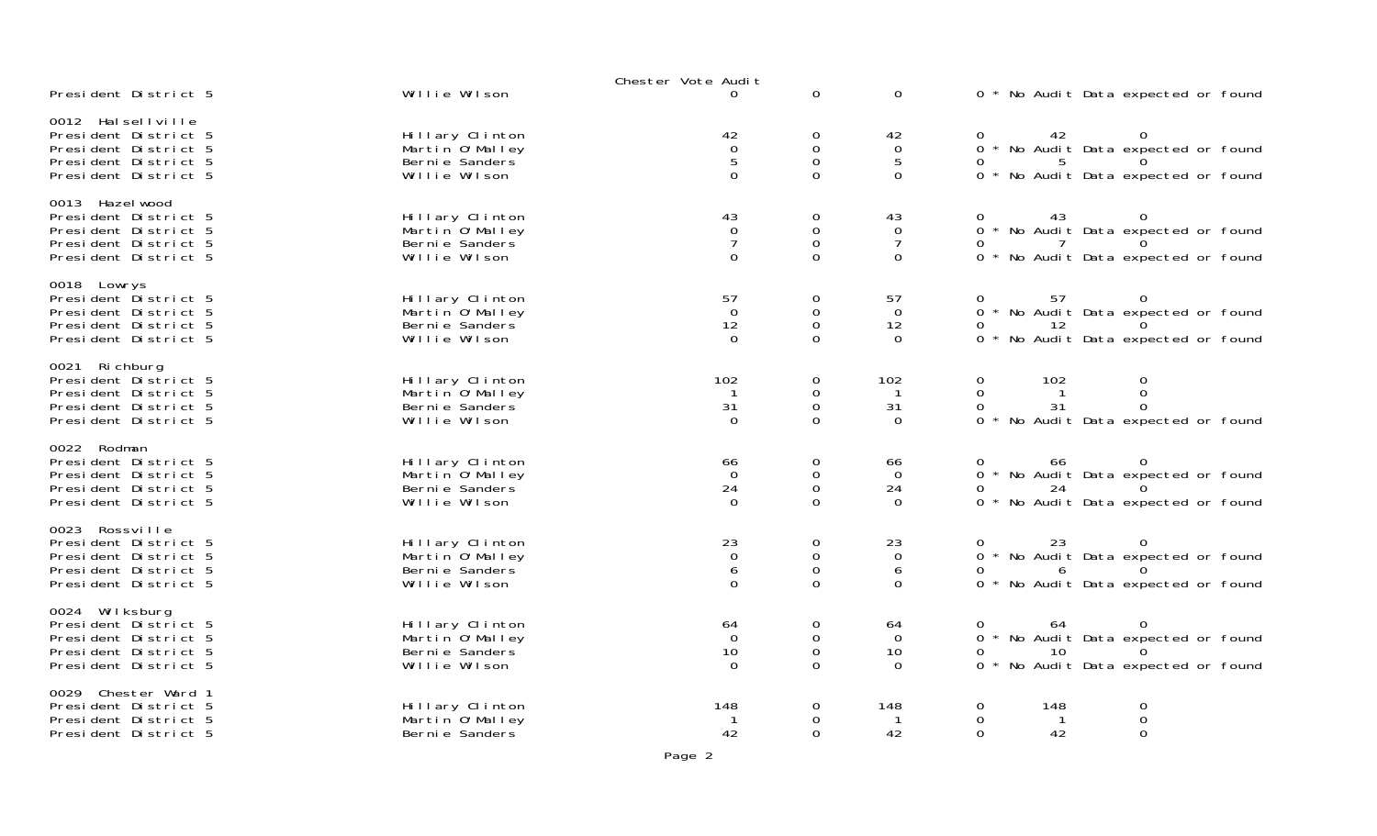|                                                                                                                   |                                                                        | Chester Vote Audit                                 |                                                               |                                                     |                                              |                                                                                    |  |
|-------------------------------------------------------------------------------------------------------------------|------------------------------------------------------------------------|----------------------------------------------------|---------------------------------------------------------------|-----------------------------------------------------|----------------------------------------------|------------------------------------------------------------------------------------|--|
| President District 5                                                                                              | Willie Wilson                                                          |                                                    | $\mathbf 0$                                                   | $\mathbf 0$                                         |                                              | 0 * No Audit Data expected or found                                                |  |
| 0012 Halsellville<br>President District 5<br>President District 5<br>President District 5<br>President District 5 | Hillary Clinton<br>Martin O'Malley<br>Berni e Sanders<br>Willie Wilson | 42<br>$\mathbf 0$<br>5<br>$\overline{O}$           | 0<br>$\mathbf 0$<br>$\mathbf 0$<br>$\mathbf 0$                | 42<br>$\mathbf 0$<br>5<br>$\mathbf{O}$              | 42<br>0<br>0                                 | 0 * No Audit Data expected or found<br>0 * No Audit Data expected or found         |  |
| 0013 Hazel wood<br>President District 5<br>President District 5<br>President District 5<br>President District 5   | Hillary Clinton<br>Martin O'Malley<br>Berni e Sanders<br>Willie Wilson | 43<br>$\mathbf 0$<br>$\overline{7}$<br>$\mathbf 0$ | $\mathbf 0$<br>$\mathsf{O}\xspace$<br>$\mathbf 0$<br>$\Omega$ | 43<br>$\mathbf 0$<br>$\overline{7}$<br>$\mathbf{O}$ | 43                                           | 0 * No Audit Data expected or found<br>0 * No Audit Data expected or found         |  |
| 0018 Lowrys<br>President District 5<br>President District 5<br>President District 5<br>President District 5       | Hillary Clinton<br>Martin O'Malley<br>Berni e Sanders<br>Willie Wilson | 57<br>$\overline{0}$<br>12<br>$\mathbf 0$          | 0<br>$\mathsf{O}\xspace$<br>0<br>$\mathbf 0$                  | 57<br>$\overline{0}$<br>12<br>$\mathbf 0$           | 57<br>12<br>0                                | 0 * No Audit Data expected or found<br>0 * No Audit Data expected or found         |  |
| 0021 Richburg<br>President District 5<br>President District 5<br>President District 5<br>President District 5     | Hillary Clinton<br>Martin O'Malley<br>Berni e Sanders<br>Willie Wilson | 102<br>31<br>$\Omega$                              | 0<br>$\mathsf{O}\xspace$<br>$\mathsf{O}\xspace$<br>$\Omega$   | 102<br>$\mathbf{1}$<br>31<br>$\Omega$               | 102<br>0<br>0<br>$\mathbf{1}$<br>31<br>0     | $\mathbf 0$<br>$\mbox{O}$<br>$\overline{0}$<br>0 * No Audit Data expected or found |  |
| 0022 Rodman<br>President District 5<br>President District 5<br>President District 5<br>President District 5       | Hillary Clinton<br>Martin O'Malley<br>Berni e Sanders<br>Willie Wilson | 66<br>$\Omega$<br>24<br>$\Omega$                   | 0<br>$\mathsf{O}\xspace$<br>$\mathbf 0$<br>$\Omega$           | 66<br>$\overline{O}$<br>24<br>$\Omega$              | 66<br>0<br>0                                 | 0<br>0 * No Audit Data expected or found<br>* No Audit Data expected or found      |  |
| 0023 Rossville<br>President District 5<br>President District 5<br>President District 5<br>President District 5    | Hillary Clinton<br>Martin O'Malley<br>Berni e Sanders<br>Willie Wilson | 23<br>$\mathbf 0$<br>6<br>$\Omega$                 | $\mathbf 0$<br>$\mathbf 0$<br>$\mathbf 0$<br>$\Omega$         | 23<br>$\mathbf 0$<br>6<br>$\Omega$                  | 0<br>23<br>0<br>6                            | 0<br>0 * No Audit Data expected or found<br>0 * No Audit Data expected or found    |  |
| 0024 Wilksburg<br>President District 5<br>President District 5<br>President District 5<br>President District 5    | Hillary Clinton<br>Martin O'Malley<br>Berni e Sanders<br>Willie Wilson | 64<br>$\Omega$<br>10<br>$\Omega$                   | $\mathbf 0$<br>0<br>$\mathbf 0$<br>$\Omega$                   | 64<br>$\Omega$<br>10<br>$\Omega$                    | 64<br>0<br>10<br>0<br>$\Omega$               | 0<br>0 * No Audit Data expected or found<br>* No Audit Data expected or found      |  |
| 0029<br>Chester Ward 1<br>President District 5<br>President District 5<br>President District 5                    | Hillary Clinton<br>Martin 0'Malley<br>Berni e Sanders                  | 148<br>42                                          | 0<br>0<br>$\overline{0}$                                      | 148<br>42                                           | $\mathbf 0$<br>148<br>0<br>$\mathbf 0$<br>42 | $\mathbf 0$<br>$\mathsf{O}\xspace$<br>$\mathbf 0$                                  |  |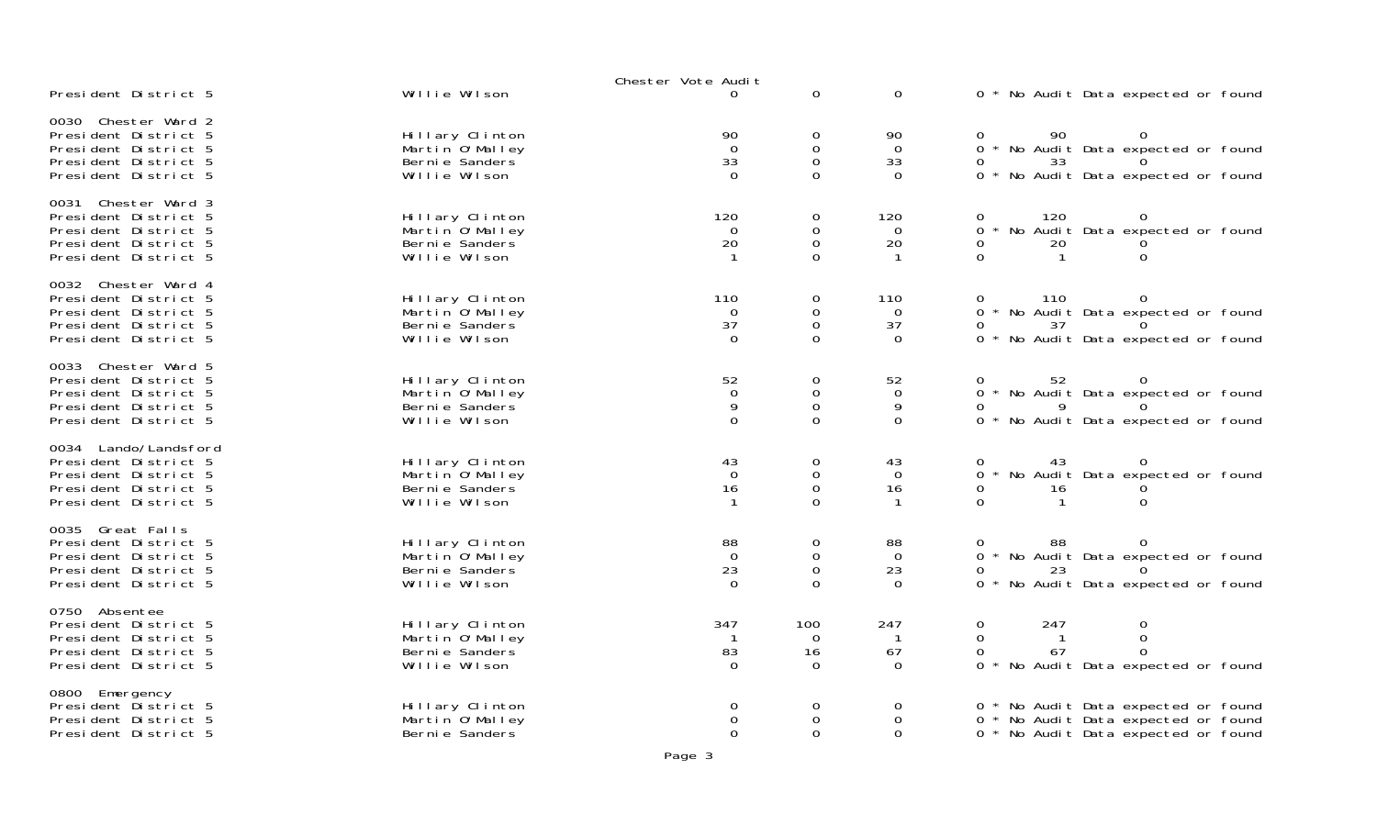|                                                                                                                      |                                                                        | Chester Vote Audit                      |                                                  |                                          |                                                                                                                            |
|----------------------------------------------------------------------------------------------------------------------|------------------------------------------------------------------------|-----------------------------------------|--------------------------------------------------|------------------------------------------|----------------------------------------------------------------------------------------------------------------------------|
| President District 5                                                                                                 | Willie Wilson                                                          |                                         | $\mathbf 0$                                      | $\mathbf 0$                              | * No Audit Data expected or found<br>0                                                                                     |
| 0030 Chester Ward 2<br>President District 5<br>President District 5<br>President District 5<br>President District 5  | Hillary Clinton<br>Martin 0'Malley<br>Bernie Sanders<br>Willie Wilson  | 90<br>$\overline{0}$<br>33<br>$\Omega$  | 0<br>$\boldsymbol{0}$<br>$\mathbf 0$<br>$\Omega$ | 90<br>$\Omega$<br>33<br>$\Omega$         | 90<br>0<br>* No Audit Data expected or found<br>$\Omega$<br>33<br>0<br>* No Audit Data expected or found<br>$\Omega$       |
| 0031 Chester Ward 3<br>President District 5<br>President District 5<br>President District 5<br>President District 5  | Hillary Clinton<br>Martin 0'Malley<br>Berni e Sanders<br>Willie Wilson | 120<br>$\Omega$<br>20                   | 0<br>$\mathbf 0$<br>$\mathbf 0$<br>0             | 120<br>$\Omega$<br>20                    | 120<br>0<br>0<br>No Audit Data expected or found<br>$\Omega$<br>20<br>0<br>$\Omega$<br>$\Omega$                            |
| 0032 Chester Ward 4<br>President District 5<br>President District 5<br>President District 5<br>President District 5  | Hillary Clinton<br>Martin 0'Malley<br>Berni e Sanders<br>Willie Wilson | 110<br>$\mathbf 0$<br>37<br>$\mathbf 0$ | 0<br>$\boldsymbol{0}$<br>0<br>0                  | 110<br>$\mathbf 0$<br>37<br>$\mathbf 0$  | 110<br>0<br>0 * No Audit Data expected or found<br>37<br>0<br>0 * No Audit Data expected or found                          |
| 0033 Chester Ward 5<br>President District 5<br>President District 5<br>President District 5<br>President District 5  | Hillary Clinton<br>Martin 0'Malley<br>Berni e Sanders<br>Willie Wilson | 52<br>$\mathbf 0$<br>9<br>$\mathbf 0$   | 0<br>$\mathbf 0$<br>$\mathbf 0$<br>$\mathbf 0$   | 52<br>$\mathbf 0$<br>9<br>$\overline{0}$ | 52<br>0<br>0<br>0 * No Audit Data expected or found<br>0 * No Audit Data expected or found                                 |
| 0034 Lando/Landsford<br>President District 5<br>President District 5<br>President District 5<br>President District 5 | Hillary Clinton<br>Martin O'Malley<br>Berni e Sanders<br>Willie Wilson | 43<br>$\overline{O}$<br>16              | 0<br>$\mathbf 0$<br>0<br>$\Omega$                | 43<br>$\Omega$<br>16                     | 43<br>0<br>0<br>* No Audit Data expected or found<br>0<br>16<br>$\Omega$<br>0                                              |
| 0035 Great Falls<br>President District 5<br>President District 5<br>President District 5<br>President District 5     | Hillary Clinton<br>Martin 0'Malley<br>Berni e Sanders<br>Willie Wilson | 88<br>$\overline{0}$<br>23<br>$\Omega$  | 0<br>$\mathbf 0$<br>$\mathbf 0$<br>$\Omega$      | 88<br>$\overline{O}$<br>23<br>$\Omega$   | 88<br>0<br>0<br>* No Audit Data expected or found<br>$\overline{O}$<br>23<br>* No Audit Data expected or found<br>$\Omega$ |
| 0750 Absentee<br>President District 5<br>President District 5<br>President District 5<br>President District 5        | Hillary Clinton<br>Martin O'Malley<br>Berni e Sanders<br>Willie Wilson | 347<br>83<br>$\Omega$                   | 100<br>$\Omega$<br>16<br>$\Omega$                | 247<br>67<br>$\Omega$                    | 247<br>0<br>0<br>$\mathbf 0$<br>0<br>$\Omega$<br>67<br>$\Omega$<br>No Audit Data expected or found<br>$\Omega$             |
| 0800 Emergency<br>President District 5<br>President District 5<br>President District 5                               | Hillary Clinton<br>Martin O'Malley<br>Berni e Sanders                  | 0<br>$\Omega$<br>$\Omega$               | $\mathbf 0$<br>0<br>$\Omega$                     | 0<br>0<br>$\mathbf 0$                    | 0 * No Audit Data expected or found<br>0 * No Audit Data expected or found<br>0 * No Audit Data expected or found          |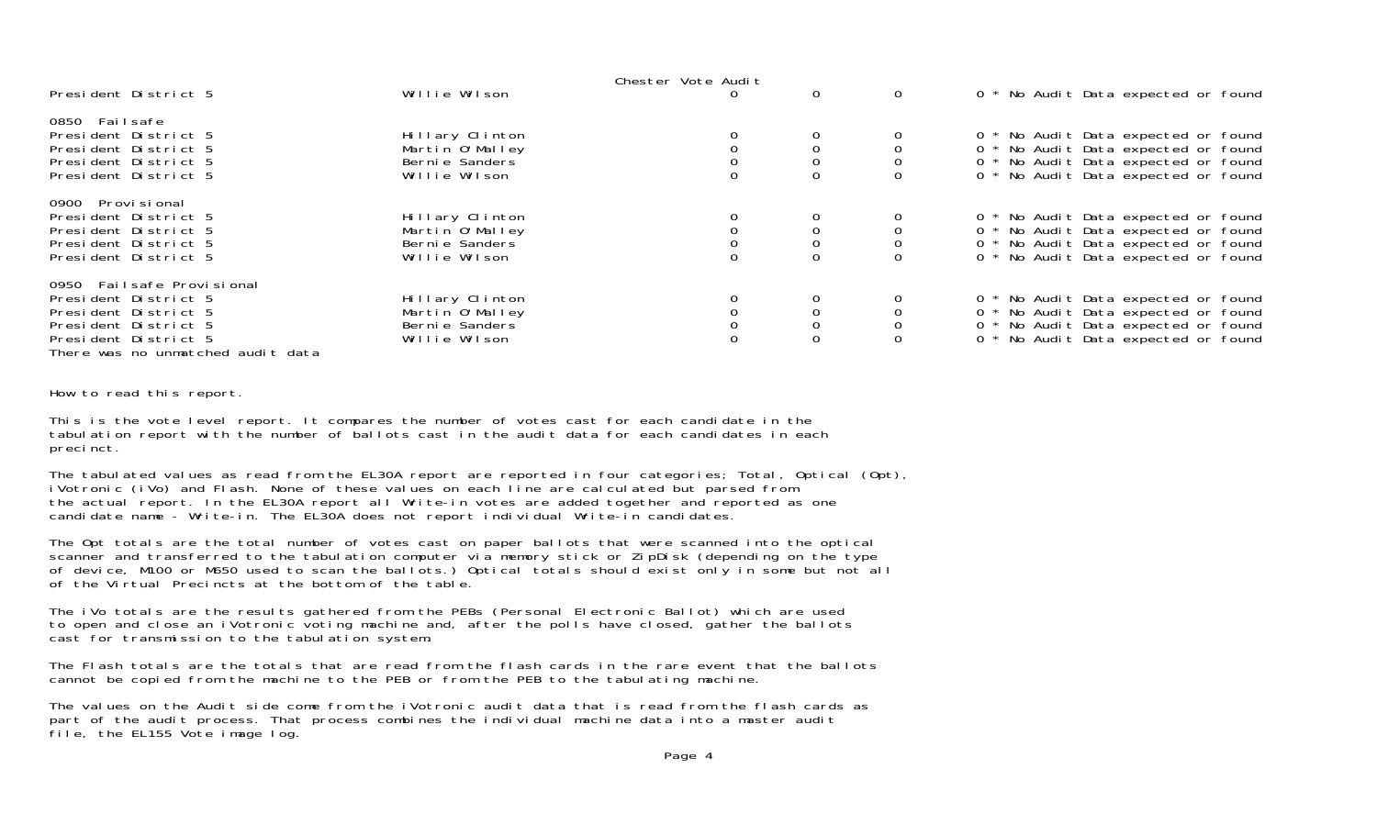|                                                           |                 | Chester Vote Audit  |             |                     |                                     |
|-----------------------------------------------------------|-----------------|---------------------|-------------|---------------------|-------------------------------------|
| President District 5                                      | Willie Wilson   | 0                   | $\Omega$    | $\overline{0}$      | 0 * No Audit Data expected or found |
| 0850 Failsafe                                             |                 |                     |             |                     |                                     |
| President District 5                                      | Hillary Clinton |                     |             |                     | 0 * No Audit Data expected or found |
| President District 5                                      | Martin O'Malley |                     |             | $\mathbf 0$         | 0 * No Audit Data expected or found |
| President District 5                                      | Berni e Sanders | 0                   |             | $\mathsf O$         | 0 * No Audit Data expected or found |
| President District 5                                      | Willie Wilson   | $\mathbf{O}$        |             | $\mathbf 0$         | 0 * No Audit Data expected or found |
| 0900 Provisional                                          |                 |                     |             |                     |                                     |
| President District 5                                      | Hillary Clinton |                     |             |                     | 0 * No Audit Data expected or found |
| President District 5                                      | Martin 0'Malley |                     |             | $\mathsf{O}\xspace$ | 0 * No Audit Data expected or found |
| President District 5                                      | Berni e Sanders | 0                   |             |                     | 0 * No Audit Data expected or found |
| President District 5                                      | Willie Wilson   | $\Omega$            |             | $\mathbf 0$         | 0 * No Audit Data expected or found |
| 0950 Failsafe Provisional                                 |                 |                     |             |                     |                                     |
| President District 5                                      | Hillary Clinton |                     |             |                     | 0 * No Audit Data expected or found |
| President District 5                                      | Martin O'Malley | 0                   | $\mathbf 0$ | $\mathsf{O}\xspace$ | 0 * No Audit Data expected or found |
| President District 5                                      | Bernie Sanders  | $\mathsf{O}\xspace$ |             | $\mathsf O$         | 0 * No Audit Data expected or found |
|                                                           |                 |                     |             |                     |                                     |
|                                                           |                 |                     |             |                     |                                     |
| President District 5<br>There was no unmatched audit data | Willie Wilson   | $\Omega$            |             | $\mathbf 0$         | 0 * No Audit Data expected or found |

How to read this report.

This is the vote level report. It compares the number of votes cast for each candidate in the tabulation report with the number of ballots cast in the audit data for each candidates in each precinct.

The tabulated values as read from the EL30A report are reported in four categories; Total, Optical (Opt), iVotronic (iVo) and Flash. None of these values on each line are calculated but parsed from the actual report. In the EL30A report all Write-in votes are added together and reported as one candidate name - Write-in. The EL30A does not report individual Write-in candidates.

The Opt totals are the total number of votes cast on paper ballots that were scanned into the optical scanner and transferred to the tabulation computer via memory stick or ZipDisk (depending on the type of device, M100 or M650 used to scan the ballots.) Optical totals should exist only in some but not all of the Virtual Precincts at the bottom of the table.

The iVo totals are the results gathered from the PEBs (Personal Electronic Ballot) which are used to open and close an iVotronic voting machine and, after the polls have closed, gather the ballots cast for transmission to the tabulation system.

The Flash totals are the totals that are read from the flash cards in the rare event that the ballots cannot be copied from the machine to the PEB or from the PEB to the tabulating machine.

The values on the Audit side come from the iVotronic audit data that is read from the flash cards as part of the audit process. That process combines the individual machine data into a master audit file, the EL155 Vote image log.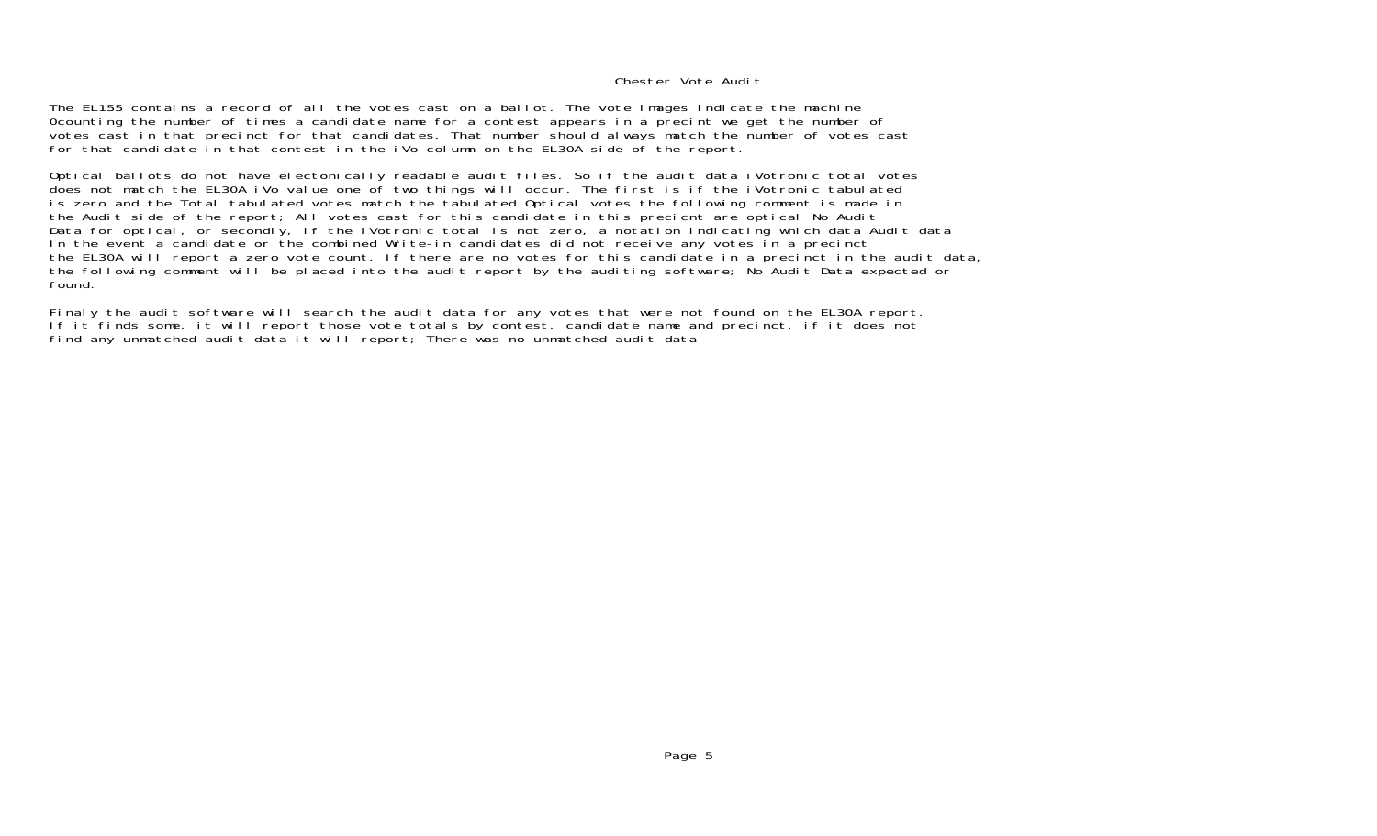### Chester Vote Audit

The EL155 contains a record of all the votes cast on a ballot. The vote images indicate the machine 0counting the number of times a candidate name for a contest appears in a precint we get the number of votes cast in that precinct for that candidates. That number should always match the number of votes cast for that candidate in that contest in the iVo column on the EL30A side of the report.

Optical ballots do not have electonically readable audit files. So if the audit data iVotronic total votes does not match the EL30A iVo value one of two things will occur. The first is if the iVotronic tabulated is zero and the Total tabulated votes match the tabulated Optical votes the following comment is made in the Audit side of the report; All votes cast for this candidate in this precicnt are optical No Audit Data for optical, or secondly, if the iVotronic total is not zero, a notation indicating which data Audit data In the event a candidate or the combined Write-in candidates did not receive any votes in a precinct the EL30A will report a zero vote count. If there are no votes for this candidate in a precinct in the audit data, the following comment will be placed into the audit report by the auditing software; No Audit Data expected or found.

Finaly the audit software will search the audit data for any votes that were not found on the EL30A report. If it finds some, it will report those vote totals by contest, candidate name and precinct. if it does not find any unmatched audit data it will report; There was no unmatched audit data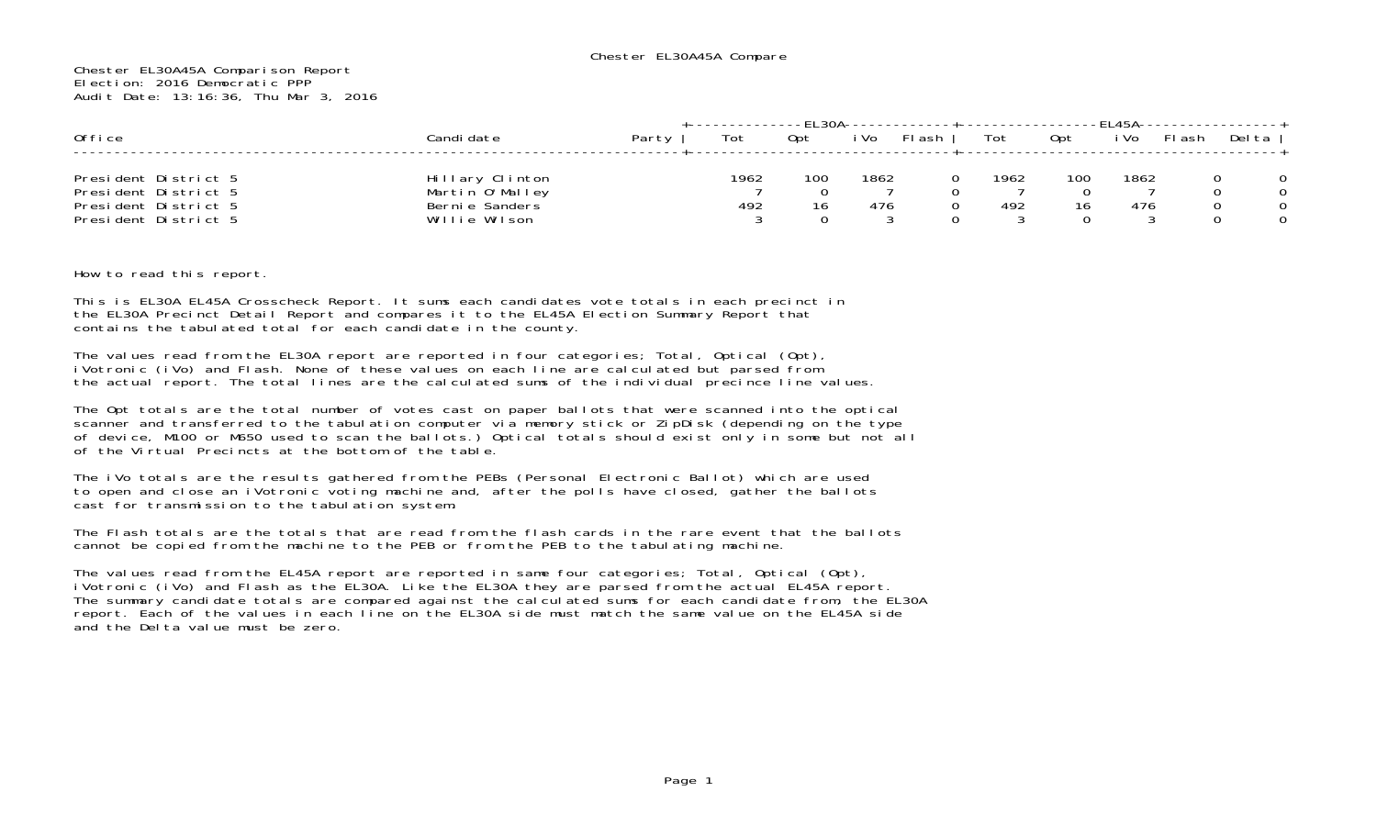| Office                                                                                       | Candi date                                                            | Party | Tot         | Opt | i Vo        | FI ash | Tot         | Opt       | i Vo        | <b>FI</b> ash | Del ta      |
|----------------------------------------------------------------------------------------------|-----------------------------------------------------------------------|-------|-------------|-----|-------------|--------|-------------|-----------|-------------|---------------|-------------|
| President District 5<br>President District 5<br>President District 5<br>President District 5 | Hillary Clinton<br>Martin O'Malley<br>Bernie Sanders<br>Willie Wilson |       | 1962<br>492 | 100 | 1862<br>476 |        | 1962<br>492 | 100<br>16 | 1862<br>476 |               | ∩<br>∩<br>∩ |

How to read this report.

This is EL30A EL45A Crosscheck Report. It sums each candidates vote totals in each precinct in the EL30A Precinct Detail Report and compares it to the EL45A Election Summary Report that contains the tabulated total for each candidate in the county.

The values read from the EL30A report are reported in four categories; Total, Optical (Opt), iVotronic (iVo) and Flash. None of these values on each line are calculated but parsed from the actual report. The total lines are the calculated sums of the individual precince line values.

The Opt totals are the total number of votes cast on paper ballots that were scanned into the optical scanner and transferred to the tabulation computer via memory stick or ZipDisk (depending on the type of device, M100 or M650 used to scan the ballots.) Optical totals should exist only in some but not all of the Virtual Precincts at the bottom of the table.

The iVo totals are the results gathered from the PEBs (Personal Electronic Ballot) which are used to open and close an iVotronic voting machine and, after the polls have closed, gather the ballots cast for transmission to the tabulation system.

The Flash totals are the totals that are read from the flash cards in the rare event that the ballotscannot be copied from the machine to the PEB or from the PEB to the tabulating machine.

The values read from the EL45A report are reported in same four categories; Total, Optical (Opt), iVotronic (iVo) and Flash as the EL30A. Like the EL30A they are parsed from the actual EL45A report. The summary candidate totals are compared against the calculated sums for each candidate from, the EL30A report. Each of the values in each line on the EL30A side must match the same value on the EL45A side and the Delta value must be zero.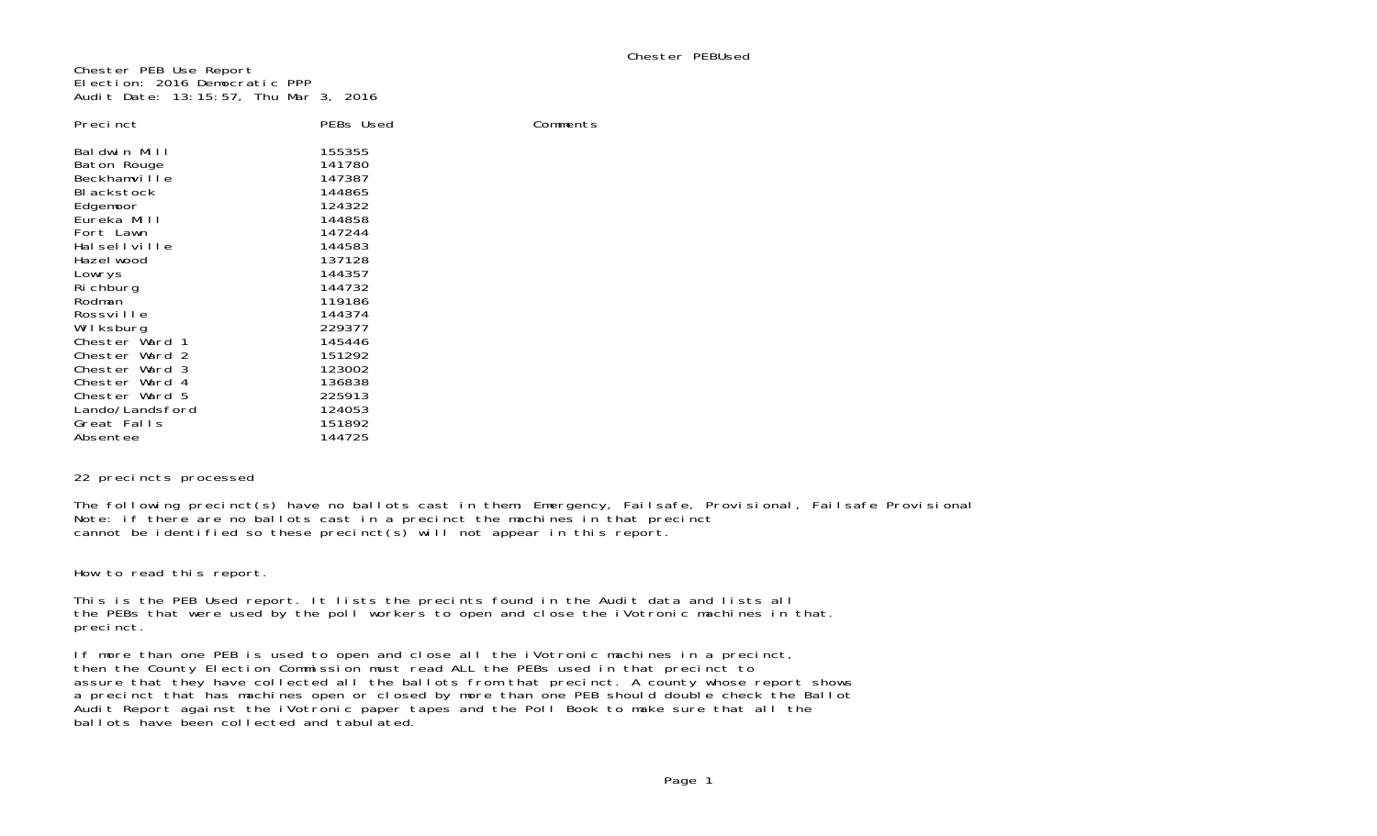Chester PEB Use Report Election: 2016 Democratic PPPAudit Date: 13:15:57, Thu Mar 3, 2016

| Precinct                                                                              | PEBs Used                                                |  |
|---------------------------------------------------------------------------------------|----------------------------------------------------------|--|
| Baldwin Mill<br>Baton Rouge<br>Beckhamville<br>BI ackstock<br>Edgemoor<br>Eureka Mill | 155355<br>141780<br>147387<br>144865<br>124322<br>144858 |  |
| Fort Lawn                                                                             | 147244                                                   |  |
| Halsellville                                                                          | 144583                                                   |  |
| Hazel wood<br>Lowrys                                                                  | 137128<br>144357                                         |  |
| Ri chburg                                                                             | 144732                                                   |  |
| Rodman                                                                                | 119186                                                   |  |
| Rossville                                                                             | 144374                                                   |  |
| Wilksburg                                                                             | 229377                                                   |  |
| Chester Ward 1                                                                        | 145446                                                   |  |
| Chester Ward 2                                                                        | 151292                                                   |  |
| Chester Ward 3                                                                        | 123002                                                   |  |
| Chester Ward 4                                                                        | 136838                                                   |  |
| Chester Ward 5<br>Lando/Landsford                                                     | 225913<br>124053                                         |  |
| Great Falls                                                                           | 151892                                                   |  |
| Absentee                                                                              | 144725                                                   |  |
|                                                                                       |                                                          |  |

### 22 precincts processed

The following precinct(s) have no ballots cast in them: Emergency, Failsafe, Provisional, Failsafe Provisional Note: if there are no ballots cast in a precinct the machines in that precinct cannot be identified so these precinct(s) will not appear in this report.

Comments

How to read this report.

This is the PEB Used report. It lists the precints found in the Audit data and lists all the PEBs that were used by the poll workers to open and close the iVotronic machines in that. precinct.

If more than one PEB is used to open and close all the iVotronic machines in a precinct, then the County Election Commission must read ALL the PEBs used in that precinct to assure that they have collected all the ballots from that precinct. A county whose report shows a precinct that has machines open or closed by more than one PEB should double check the Ballot Audit Report against the iVotronic paper tapes and the Poll Book to make sure that all the ballots have been collected and tabulated.